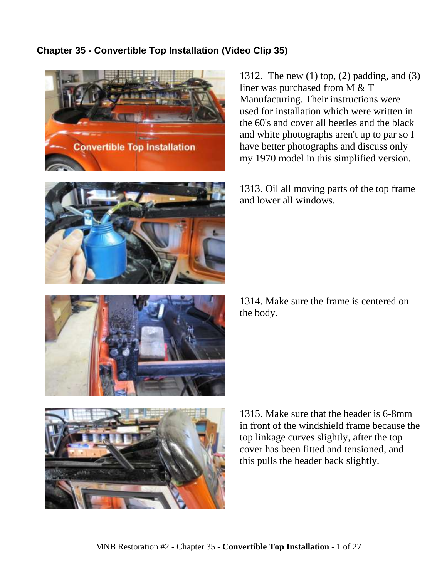# **Chapter 35 - Convertible Top Installation (Video Clip 35)**





1312. The new (1) top, (2) padding, and (3) liner was purchased from M & T Manufacturing. Their instructions were used for installation which were written in the 60's and cover all beetles and the black and white photographs aren't up to par so I have better photographs and discuss only my 1970 model in this simplified version.

1313. Oil all moving parts of the top frame and lower all windows.



1314. Make sure the frame is centered on the body.



1315. Make sure that the header is 6-8mm in front of the windshield frame because the top linkage curves slightly, after the top cover has been fitted and tensioned, and this pulls the header back slightly.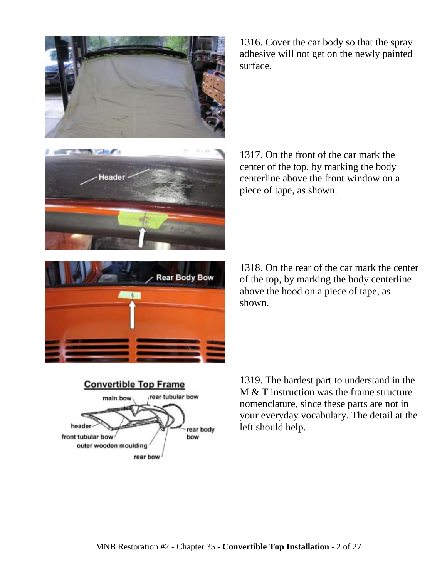

1316. Cover the car body so that the spray adhesive will not get on the newly painted surface.



1317. On the front of the car mark the center of the top, by marking the body centerline above the front window on a piece of tape, as shown.



1318. On the rear of the car mark the center of the top, by marking the body centerline above the hood on a piece of tape, as shown.



1319. The hardest part to understand in the M & T instruction was the frame structure nomenclature, since these parts are not in your everyday vocabulary. The detail at the left should help.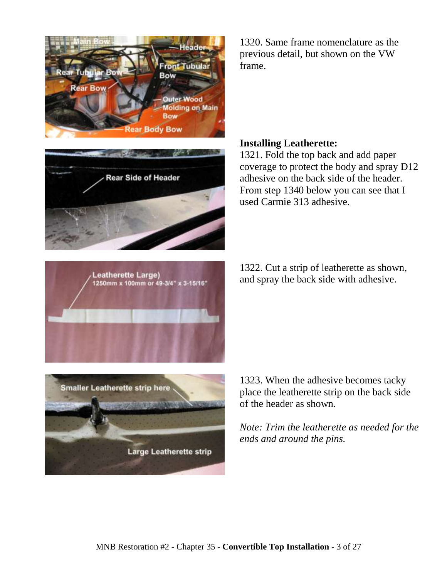

**Rear Side of Header** 

1320. Same frame nomenclature as the previous detail, but shown on the VW frame.

### **Installing Leatherette:**

1321. Fold the top back and add paper coverage to protect the body and spray D12 adhesive on the back side of the header. From step 1340 below you can see that I used Carmie 313 adhesive.

1322. Cut a strip of leatherette as shown, and spray the back side with adhesive.





1323. When the adhesive becomes tacky place the leatherette strip on the back side of the header as shown.

*Note: Trim the leatherette as needed for the ends and around the pins.*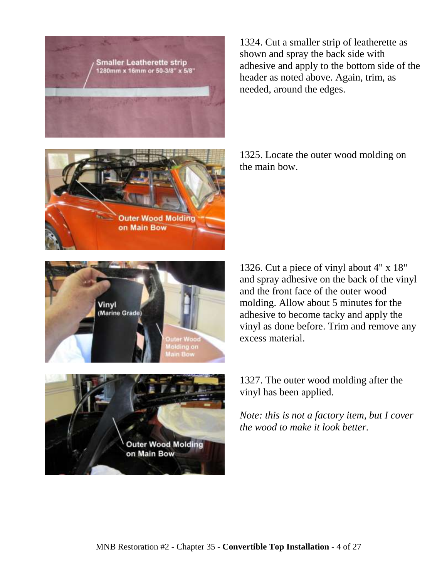

1324. Cut a smaller strip of leatherette as shown and spray the back side with adhesive and apply to the bottom side of the header as noted above. Again, trim, as needed, around the edges.

**Outer Wood Molding** on Main Bow

1325. Locate the outer wood molding on the main bow.





1326. Cut a piece of vinyl about 4" x 18" and spray adhesive on the back of the vinyl and the front face of the outer wood molding. Allow about 5 minutes for the adhesive to become tacky and apply the vinyl as done before. Trim and remove any excess material.

1327. The outer wood molding after the vinyl has been applied.

*Note: this is not a factory item, but I cover the wood to make it look better.*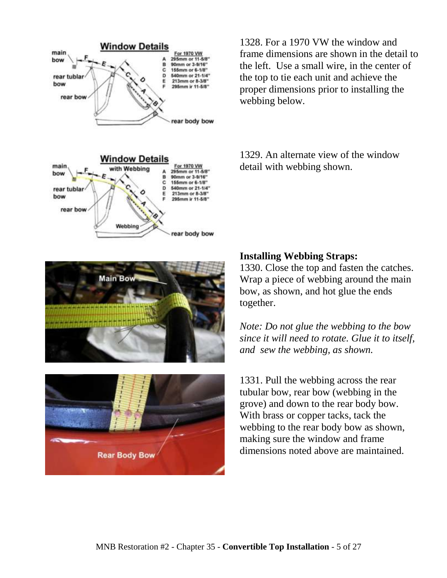

1328. For a 1970 VW the window and frame dimensions are shown in the detail to the left. Use a small wire, in the center of the top to tie each unit and achieve the proper dimensions prior to installing the webbing below.

1329. An alternate view of the window detail with webbing shown.





#### **Installing Webbing Straps:**

1330. Close the top and fasten the catches. Wrap a piece of webbing around the main bow, as shown, and hot glue the ends together.

*Note: Do not glue the webbing to the bow since it will need to rotate. Glue it to itself, and sew the webbing, as shown.*

1331. Pull the webbing across the rear tubular bow, rear bow (webbing in the grove) and down to the rear body bow. With brass or copper tacks, tack the webbing to the rear body bow as shown, making sure the window and frame dimensions noted above are maintained.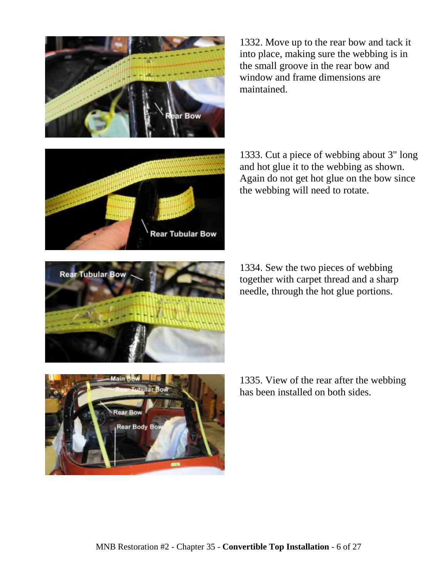

1332. Move up to the rear bow and tack it into place, making sure the webbing is in the small groove in the rear bow and window and frame dimensions are maintained.



1333. Cut a piece of webbing about 3" long and hot glue it to the webbing as shown. Again do not get hot glue on the bow since the webbing will need to rotate.

1334. Sew the two pieces of webbing together with carpet thread and a sharp needle, through the hot glue portions.



1335. View of the rear after the webbing has been installed on both sides.

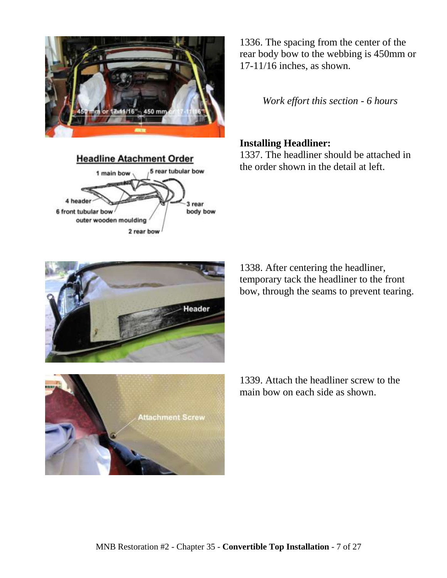

**Headline Atachment Order** 5 rear tubular bow 1 main bow 4 header 3 rear 6 front tubular bow body bow outer wooden moulding 2 rear bow

1336. The spacing from the center of the rear body bow to the webbing is 450mm or 17-11/16 inches, as shown.

*Work effort this section - 6 hours*

### **Installing Headliner:**

1337. The headliner should be attached in the order shown in the detail at left.

1338. After centering the headliner, temporary tack the headliner to the front bow, through the seams to prevent tearing.

**Attachment Screw** 

1339. Attach the headliner screw to the main bow on each side as shown.



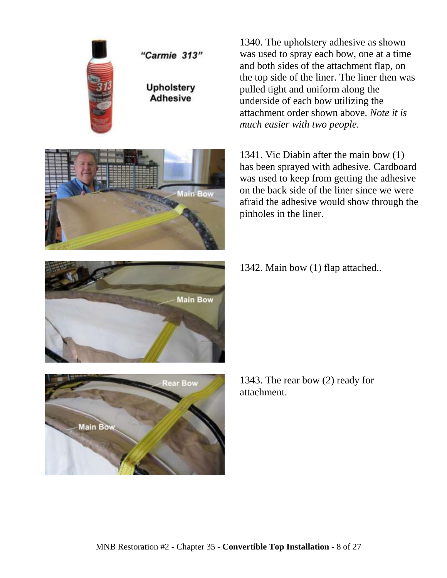



1340. The upholstery adhesive as shown was used to spray each bow, one at a time and both sides of the attachment flap, on the top side of the liner. The liner then was pulled tight and uniform along the underside of each bow utilizing the attachment order shown above. *Note it is much easier with two people.*

1341. Vic Diabin after the main bow (1) has been sprayed with adhesive. Cardboard was used to keep from getting the adhesive on the back side of the liner since we were afraid the adhesive would show through the pinholes in the liner.

1342. Main bow (1) flap attached..





1343. The rear bow (2) ready for attachment.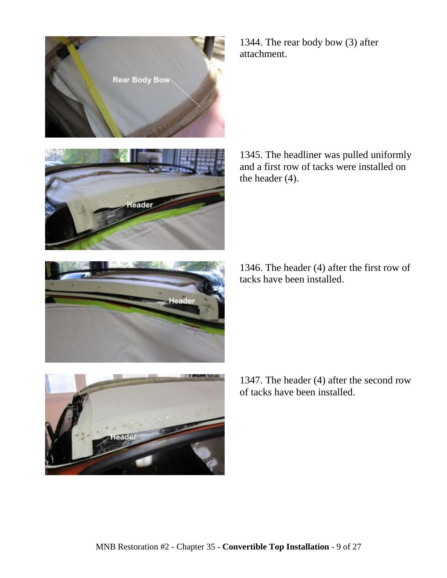





1345. The headliner was pulled uniformly and a first row of tacks were installed on the header (4).

1346. The header (4) after the first row of tacks have been installed.



1347. The header (4) after the second row of tacks have been installed.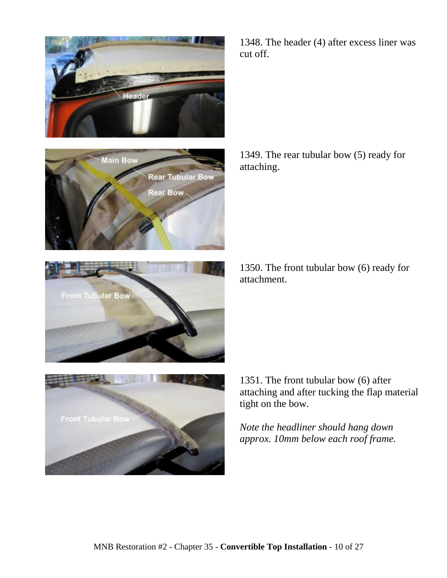

lain Bow

**Front Tubular Bow** 

**Rear Tubular Boy** 

Rear Bow



1349. The rear tubular bow (5) ready for attaching.

1350. The front tubular bow (6) ready for attachment.



1351. The front tubular bow (6) after attaching and after tucking the flap material tight on the bow.

*Note the headliner should hang down approx. 10mm below each roof frame.*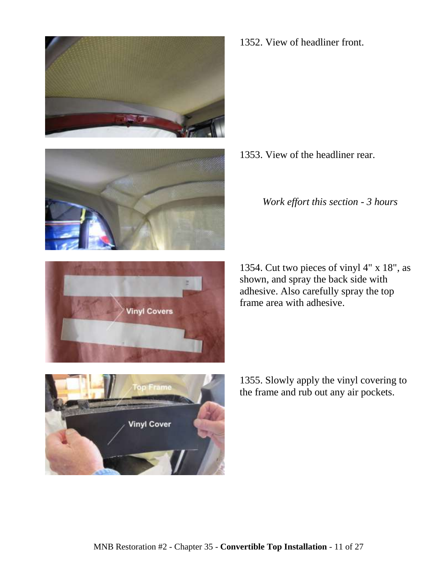



1352. View of headliner front.

1353. View of the headliner rear.

*Work effort this section - 3 hours*





1355. Slowly apply the vinyl covering to the frame and rub out any air pockets.

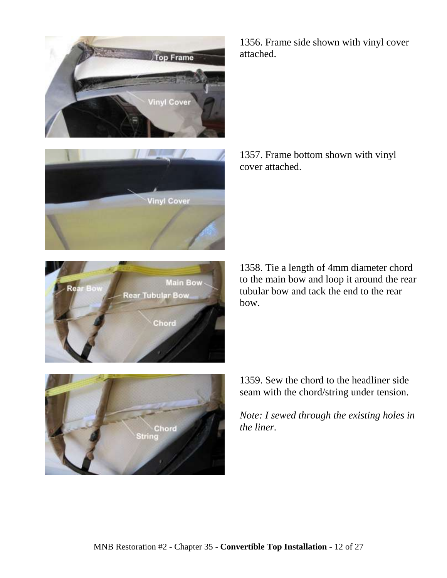





1356. Frame side shown with vinyl cover attached.

1357. Frame bottom shown with vinyl cover attached.

1358. Tie a length of 4mm diameter chord to the main bow and loop it around the rear tubular bow and tack the end to the rear bow.



1359. Sew the chord to the headliner side seam with the chord/string under tension.

*Note: I sewed through the existing holes in the liner.*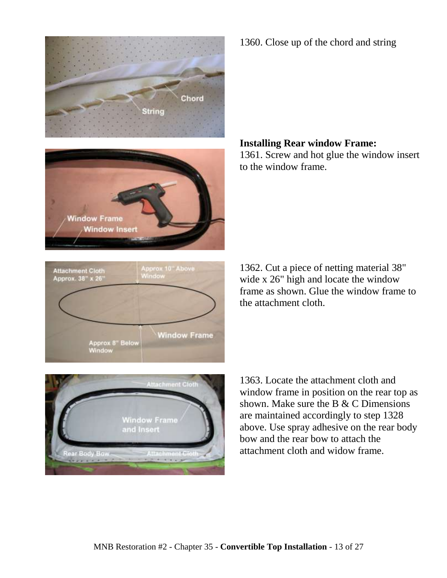



**Attachment Cloth** Approx. 38" x 26'

Approx 10" Above<br>Window

**Window Frame** 

1360. Close up of the chord and string

#### **Installing Rear window Frame:**

1361. Screw and hot glue the window insert to the window frame.

1362. Cut a piece of netting material 38" wide x 26" high and locate the window frame as shown. Glue the window frame to the attachment cloth.



Approx 8" Below<br>Window

1363. Locate the attachment cloth and window frame in position on the rear top as shown. Make sure the B & C Dimensions are maintained accordingly to step 1328 above. Use spray adhesive on the rear body bow and the rear bow to attach the attachment cloth and widow frame.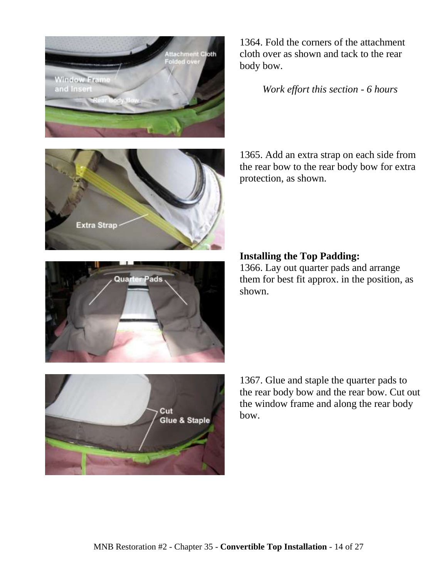







1364. Fold the corners of the attachment cloth over as shown and tack to the rear body bow.

*Work effort this section - 6 hours*

1365. Add an extra strap on each side from the rear bow to the rear body bow for extra protection, as shown.

## **Installing the Top Padding:**

1366. Lay out quarter pads and arrange them for best fit approx. in the position, as shown.

1367. Glue and staple the quarter pads to the rear body bow and the rear bow. Cut out the window frame and along the rear body bow.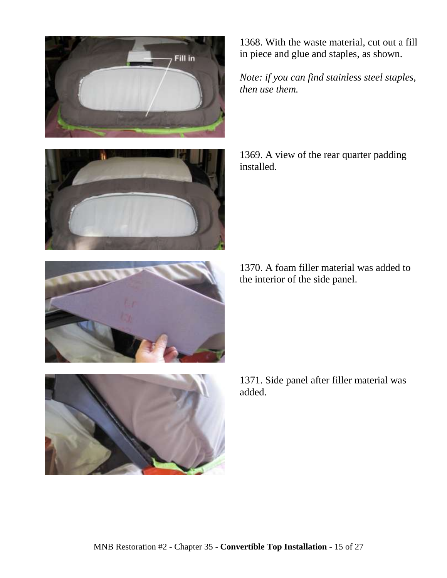



1368. With the waste material, cut out a fill in piece and glue and staples, as shown.

*Note: if you can find stainless steel staples, then use them.*

1369. A view of the rear quarter padding installed.

1370. A foam filler material was added to the interior of the side panel.



1371. Side panel after filler material was added.

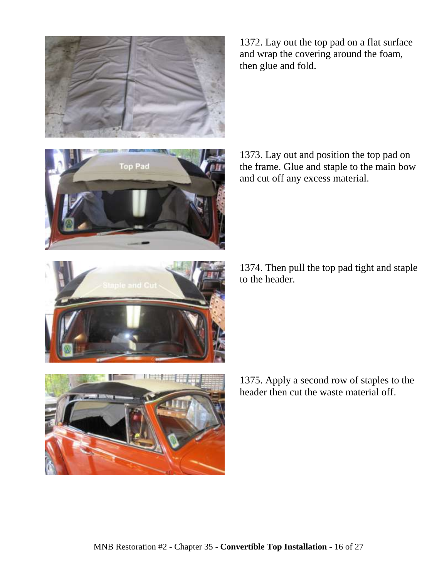

1372. Lay out the top pad on a flat surface and wrap the covering around the foam, then glue and fold.



1373. Lay out and position the top pad on the frame. Glue and staple to the main bow and cut off any excess material.

1374. Then pull the top pad tight and staple to the header.



1375. Apply a second row of staples to the header then cut the waste material off.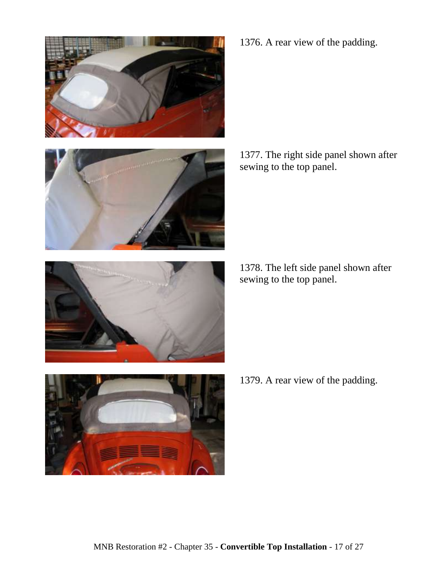





1378. The left side panel shown after sewing to the top panel.



1379. A rear view of the padding.



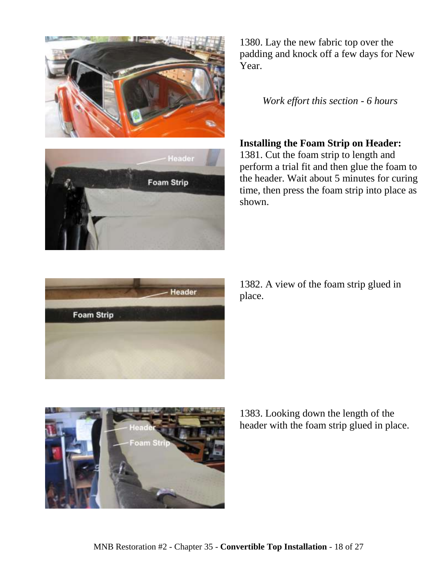



1380. Lay the new fabric top over the padding and knock off a few days for New Year.

*Work effort this section - 6 hours*

## **Installing the Foam Strip on Header:**

1381. Cut the foam strip to length and perform a trial fit and then glue the foam to the header. Wait about 5 minutes for curing time, then press the foam strip into place as shown.



1382. A view of the foam strip glued in place.



1383. Looking down the length of the header with the foam strip glued in place.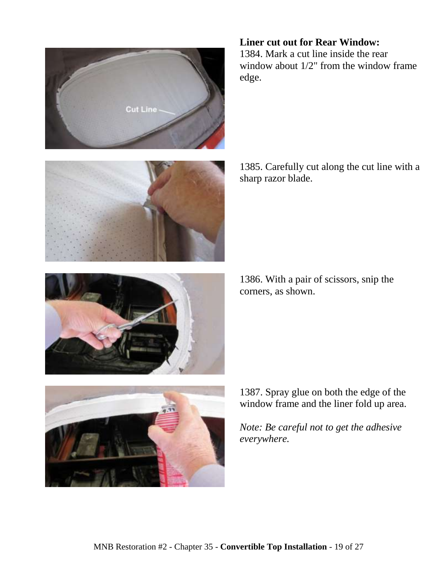



1384. Mark a cut line inside the rear window about 1/2" from the window frame edge.



1385. Carefully cut along the cut line with a sharp razor blade.

1386. With a pair of scissors, snip the corners, as shown.



1387. Spray glue on both the edge of the window frame and the liner fold up area.

*Note: Be careful not to get the adhesive everywhere.*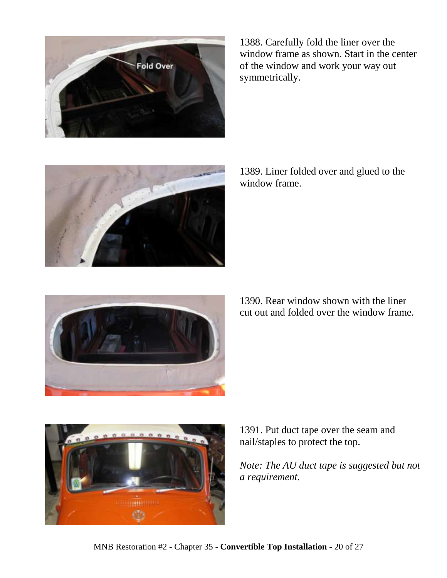

1388. Carefully fold the liner over the window frame as shown. Start in the center of the window and work your way out symmetrically.



1389. Liner folded over and glued to the window frame.



1390. Rear window shown with the liner cut out and folded over the window frame.



1391. Put duct tape over the seam and nail/staples to protect the top.

*Note: The AU duct tape is suggested but not a requirement.*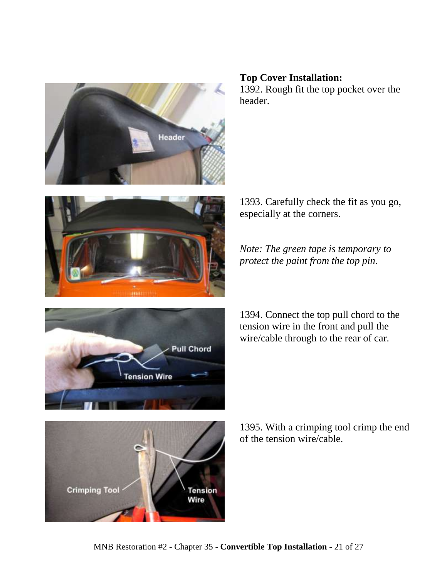

# **Top Cover Installation:**

especially at the corners.

1392. Rough fit the top pocket over the header.

1393. Carefully check the fit as you go,

*Note: The green tape is temporary to protect the paint from the top pin.*



1394. Connect the top pull chord to the tension wire in the front and pull the wire/cable through to the rear of car.



**Crimping Tool Tension** Wire

1395. With a crimping tool crimp the end of the tension wire/cable.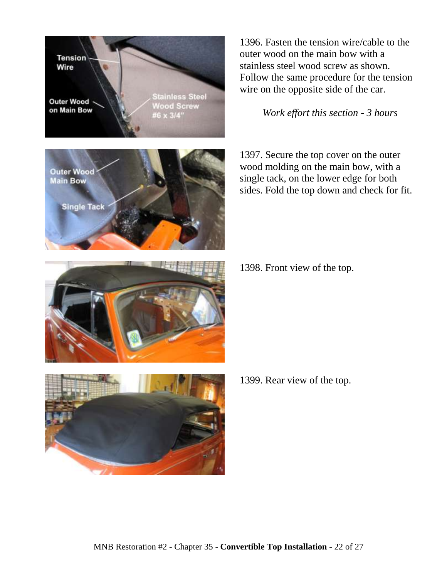**Tension Stainless Steel Outer Wood Wood Screw** on Main Bow #6 x 3/4"

1396. Fasten the tension wire/cable to the outer wood on the main bow with a stainless steel wood screw as shown. Follow the same procedure for the tension wire on the opposite side of the car.

*Work effort this section - 3 hours*

1397. Secure the top cover on the outer wood molding on the main bow, with a single tack, on the lower edge for both sides. Fold the top down and check for fit.











Wire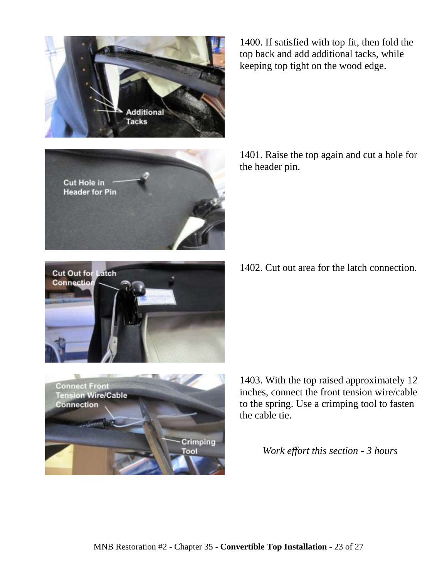

1400. If satisfied with top fit, then fold the top back and add additional tacks, while keeping top tight on the wood edge.



1401. Raise the top again and cut a hole for the header pin.

1402. Cut out area for the latch connection.



**Connect Front Tension Wire/Cable Connection** Crimping ool

1403. With the top raised approximately 12 inches, connect the front tension wire/cable to the spring. Use a crimping tool to fasten the cable tie.

*Work effort this section - 3 hours*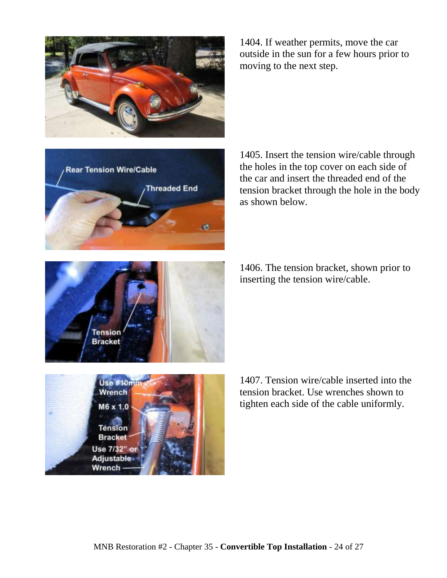

1404. If weather permits, move the car outside in the sun for a few hours prior to moving to the next step.



1405. Insert the tension wire/cable through the holes in the top cover on each side of the car and insert the threaded end of the tension bracket through the hole in the body as shown below.

1406. The tension bracket, shown prior to inserting the tension wire/cable.



1407. Tension wire/cable inserted into the tension bracket. Use wrenches shown to tighten each side of the cable uniformly.

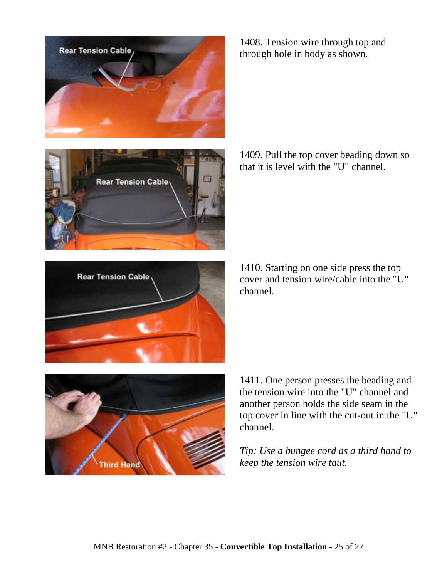

**Rear Tension Cable** 

1408. Tension wire through top and through hole in body as shown.

1409. Pull the top cover beading down so that it is level with the "U" channel.



**hird Hand** 

1410. Starting on one side press the top cover and tension wire/cable into the "U" channel.



*Tip: Use a bungee cord as a third hand to keep the tension wire taut.*

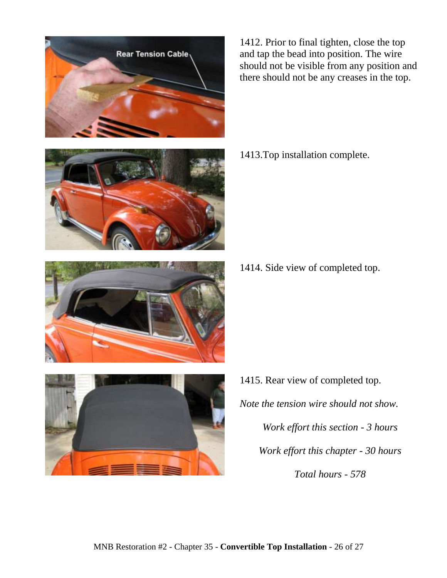

1412. Prior to final tighten, close the top and tap the bead into position. The wire should not be visible from any position and there should not be any creases in the top.

1413.Top installation complete.

1414. Side view of completed top.

- 
- 1415. Rear view of completed top. *Note the tension wire should not show. Work effort this section - 3 hours Work effort this chapter - 30 hours Total hours - 578*